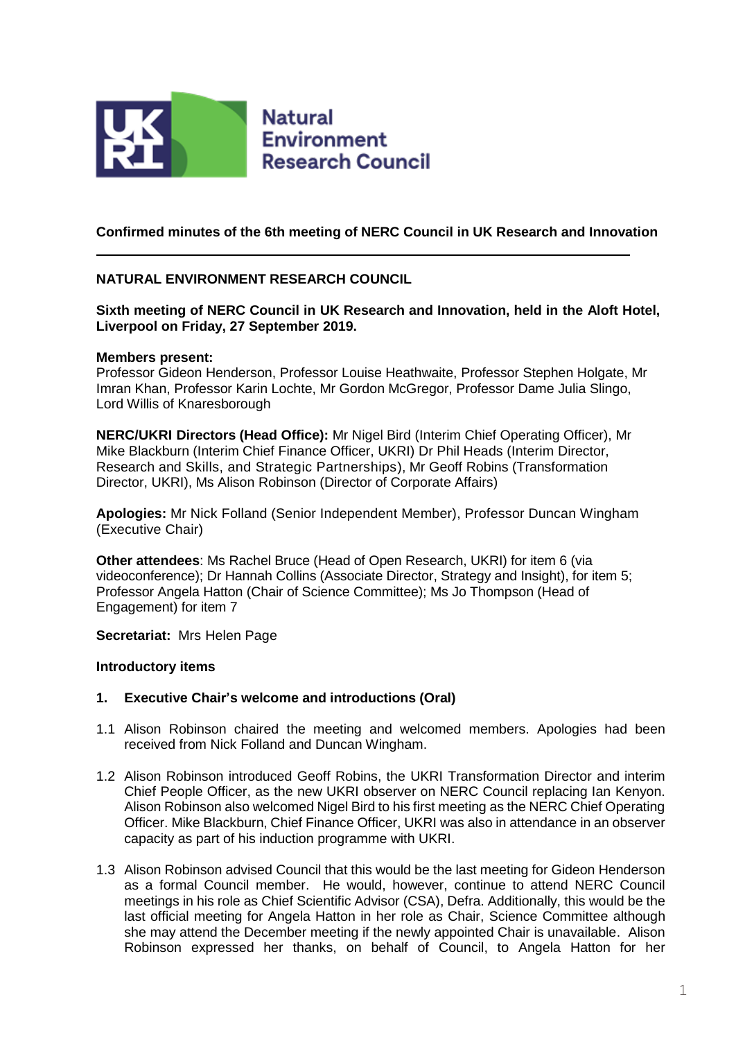

# **Confirmed minutes of the 6th meeting of NERC Council in UK Research and Innovation**

# **NATURAL ENVIRONMENT RESEARCH COUNCIL**

**Sixth meeting of NERC Council in UK Research and Innovation, held in the Aloft Hotel, Liverpool on Friday, 27 September 2019.** 

### **Members present:**

Professor Gideon Henderson, Professor Louise Heathwaite, Professor Stephen Holgate, Mr Imran Khan, Professor Karin Lochte, Mr Gordon McGregor, Professor Dame Julia Slingo, Lord Willis of Knaresborough

**NERC/UKRI Directors (Head Office):** Mr Nigel Bird (Interim Chief Operating Officer), Mr Mike Blackburn (Interim Chief Finance Officer, UKRI) Dr Phil Heads (Interim Director, Research and Skills, and Strategic Partnerships), Mr Geoff Robins (Transformation Director, UKRI), Ms Alison Robinson (Director of Corporate Affairs)

**Apologies:** Mr Nick Folland (Senior Independent Member), Professor Duncan Wingham (Executive Chair)

**Other attendees**: Ms Rachel Bruce (Head of Open Research, UKRI) for item 6 (via videoconference); Dr Hannah Collins (Associate Director, Strategy and Insight), for item 5; Professor Angela Hatton (Chair of Science Committee); Ms Jo Thompson (Head of Engagement) for item 7

**Secretariat:** Mrs Helen Page

## **Introductory items**

## **1. Executive Chair's welcome and introductions (Oral)**

- 1.1 Alison Robinson chaired the meeting and welcomed members. Apologies had been received from Nick Folland and Duncan Wingham.
- 1.2 Alison Robinson introduced Geoff Robins, the UKRI Transformation Director and interim Chief People Officer, as the new UKRI observer on NERC Council replacing Ian Kenyon. Alison Robinson also welcomed Nigel Bird to his first meeting as the NERC Chief Operating Officer. Mike Blackburn, Chief Finance Officer, UKRI was also in attendance in an observer capacity as part of his induction programme with UKRI.
- 1.3 Alison Robinson advised Council that this would be the last meeting for Gideon Henderson as a formal Council member. He would, however, continue to attend NERC Council meetings in his role as Chief Scientific Advisor (CSA), Defra. Additionally, this would be the last official meeting for Angela Hatton in her role as Chair, Science Committee although she may attend the December meeting if the newly appointed Chair is unavailable. Alison Robinson expressed her thanks, on behalf of Council, to Angela Hatton for her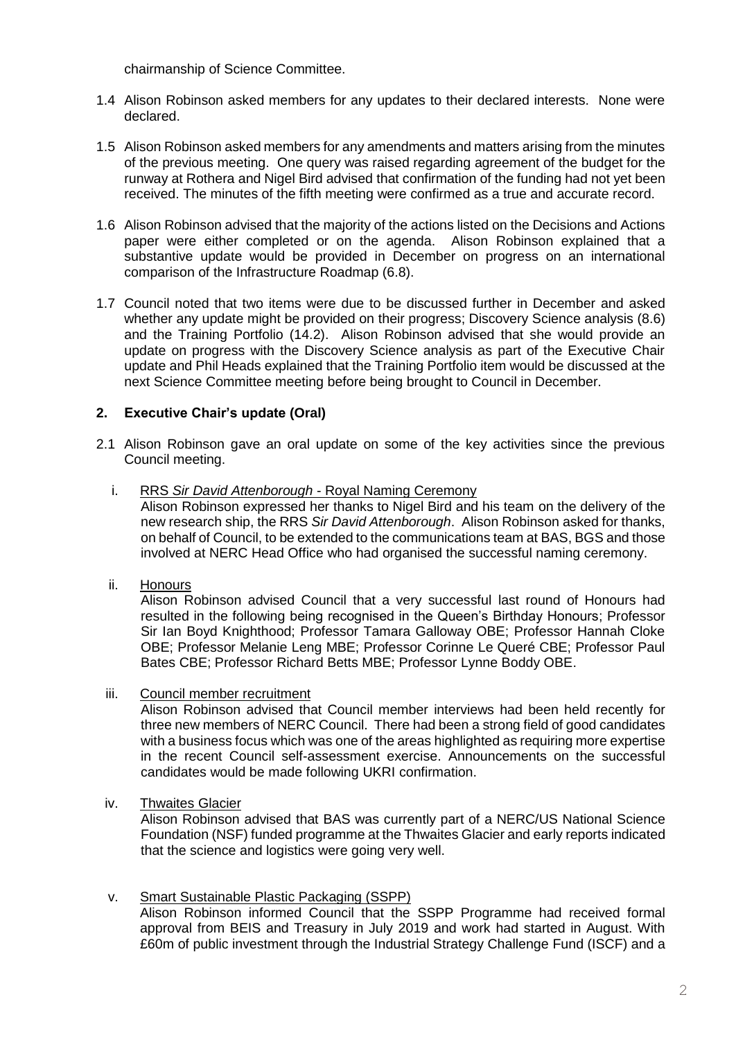chairmanship of Science Committee.

- 1.4 Alison Robinson asked members for any updates to their declared interests. None were declared.
- 1.5 Alison Robinson asked members for any amendments and matters arising from the minutes of the previous meeting. One query was raised regarding agreement of the budget for the runway at Rothera and Nigel Bird advised that confirmation of the funding had not yet been received. The minutes of the fifth meeting were confirmed as a true and accurate record.
- 1.6 Alison Robinson advised that the majority of the actions listed on the Decisions and Actions paper were either completed or on the agenda. Alison Robinson explained that a substantive update would be provided in December on progress on an international comparison of the Infrastructure Roadmap (6.8).
- 1.7 Council noted that two items were due to be discussed further in December and asked whether any update might be provided on their progress; Discovery Science analysis (8.6) and the Training Portfolio (14.2). Alison Robinson advised that she would provide an update on progress with the Discovery Science analysis as part of the Executive Chair update and Phil Heads explained that the Training Portfolio item would be discussed at the next Science Committee meeting before being brought to Council in December.

# **2. Executive Chair's update (Oral)**

- 2.1 Alison Robinson gave an oral update on some of the key activities since the previous Council meeting.
	- i. RRS *Sir David Attenborough* Royal Naming Ceremony

Alison Robinson expressed her thanks to Nigel Bird and his team on the delivery of the new research ship, the RRS *Sir David Attenborough*. Alison Robinson asked for thanks, on behalf of Council, to be extended to the communications team at BAS, BGS and those involved at NERC Head Office who had organised the successful naming ceremony.

ii. Honours

Alison Robinson advised Council that a very successful last round of Honours had resulted in the following being recognised in the Queen's Birthday Honours; Professor Sir Ian Boyd Knighthood; Professor Tamara Galloway OBE; Professor Hannah Cloke OBE; Professor Melanie Leng MBE; Professor Corinne Le Queré CBE; Professor Paul Bates CBE; Professor Richard Betts MBE; Professor Lynne Boddy OBE.

iii. Council member recruitment

Alison Robinson advised that Council member interviews had been held recently for three new members of NERC Council. There had been a strong field of good candidates with a business focus which was one of the areas highlighted as requiring more expertise in the recent Council self-assessment exercise. Announcements on the successful candidates would be made following UKRI confirmation.

iv. Thwaites Glacier

Alison Robinson advised that BAS was currently part of a NERC/US National Science Foundation (NSF) funded programme at the Thwaites Glacier and early reports indicated that the science and logistics were going very well.

v. Smart Sustainable Plastic Packaging (SSPP) Alison Robinson informed Council that the SSPP Programme had received formal approval from BEIS and Treasury in July 2019 and work had started in August. With £60m of public investment through the Industrial Strategy Challenge Fund (ISCF) and a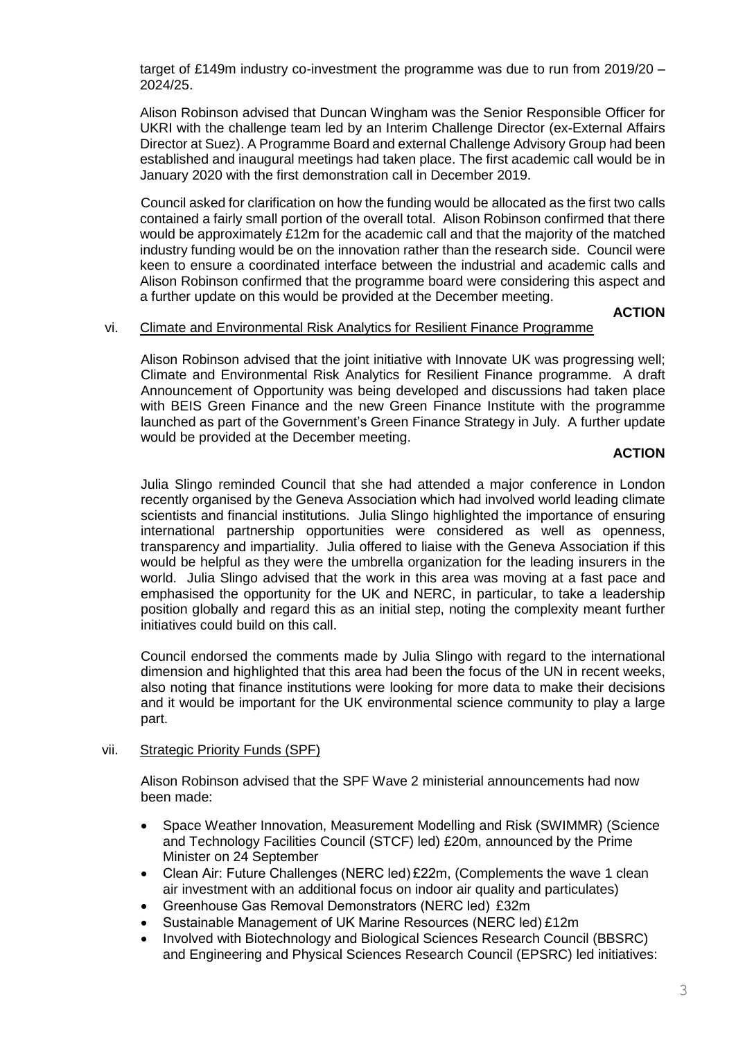target of £149m industry co-investment the programme was due to run from 2019/20 – 2024/25.

Alison Robinson advised that Duncan Wingham was the Senior Responsible Officer for UKRI with the challenge team led by an Interim Challenge Director (ex-External Affairs Director at Suez). A Programme Board and external Challenge Advisory Group had been established and inaugural meetings had taken place. The first academic call would be in January 2020 with the first demonstration call in December 2019.

Council asked for clarification on how the funding would be allocated as the first two calls contained a fairly small portion of the overall total. Alison Robinson confirmed that there would be approximately £12m for the academic call and that the majority of the matched industry funding would be on the innovation rather than the research side. Council were keen to ensure a coordinated interface between the industrial and academic calls and Alison Robinson confirmed that the programme board were considering this aspect and a further update on this would be provided at the December meeting.

**ACTION**

### vi. Climate and Environmental Risk Analytics for Resilient Finance Programme

Alison Robinson advised that the joint initiative with Innovate UK was progressing well; Climate and Environmental Risk Analytics for Resilient Finance programme. A draft Announcement of Opportunity was being developed and discussions had taken place with BEIS Green Finance and the new Green Finance Institute with the programme launched as part of the Government's Green Finance Strategy in July. A further update would be provided at the December meeting.

# **ACTION**

Julia Slingo reminded Council that she had attended a major conference in London recently organised by the Geneva Association which had involved world leading climate scientists and financial institutions. Julia Slingo highlighted the importance of ensuring international partnership opportunities were considered as well as openness, transparency and impartiality. Julia offered to liaise with the Geneva Association if this would be helpful as they were the umbrella organization for the leading insurers in the world. Julia Slingo advised that the work in this area was moving at a fast pace and emphasised the opportunity for the UK and NERC, in particular, to take a leadership position globally and regard this as an initial step, noting the complexity meant further initiatives could build on this call.

Council endorsed the comments made by Julia Slingo with regard to the international dimension and highlighted that this area had been the focus of the UN in recent weeks, also noting that finance institutions were looking for more data to make their decisions and it would be important for the UK environmental science community to play a large part.

## vii. Strategic Priority Funds (SPF)

Alison Robinson advised that the SPF Wave 2 ministerial announcements had now been made:

- Space Weather Innovation, Measurement Modelling and Risk (SWIMMR) (Science and Technology Facilities Council (STCF) led) £20m, announced by the Prime Minister on 24 September
- Clean Air: Future Challenges (NERC led) £22m, (Complements the wave 1 clean air investment with an additional focus on indoor air quality and particulates)
- Greenhouse Gas Removal Demonstrators (NERC led)  £32m
- Sustainable Management of UK Marine Resources (NERC led) £12m
- Involved with Biotechnology and Biological Sciences Research Council (BBSRC) and Engineering and Physical Sciences Research Council (EPSRC) led initiatives: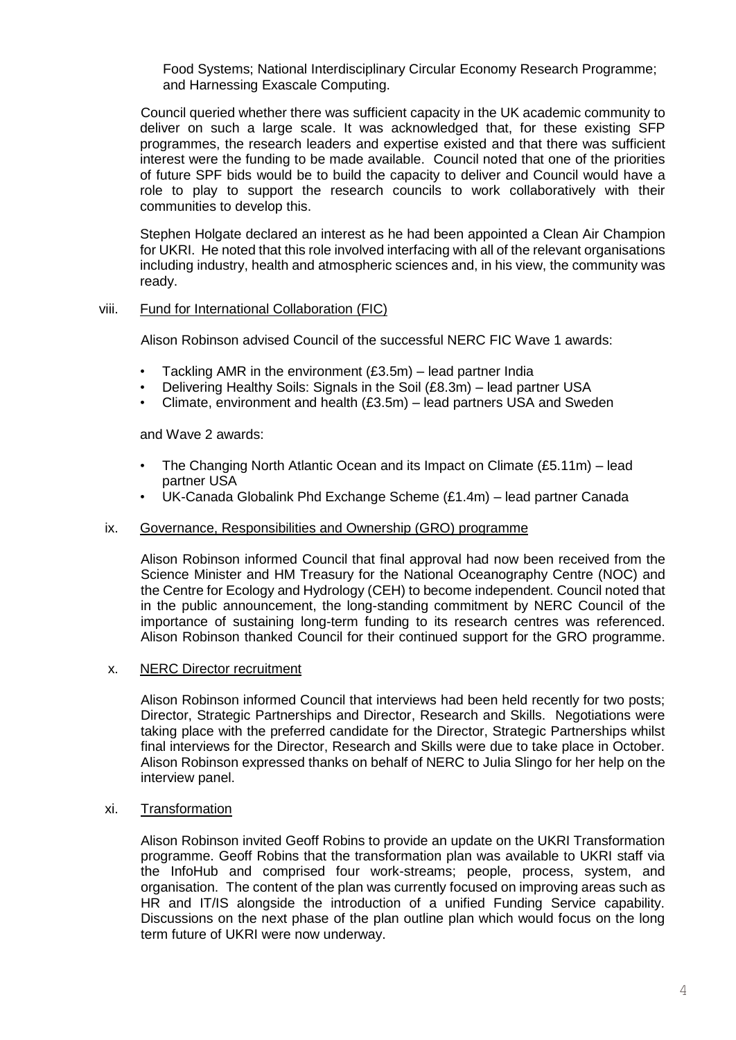Food Systems; National Interdisciplinary Circular Economy Research Programme; and Harnessing Exascale Computing.

Council queried whether there was sufficient capacity in the UK academic community to deliver on such a large scale. It was acknowledged that, for these existing SFP programmes, the research leaders and expertise existed and that there was sufficient interest were the funding to be made available. Council noted that one of the priorities of future SPF bids would be to build the capacity to deliver and Council would have a role to play to support the research councils to work collaboratively with their communities to develop this.

Stephen Holgate declared an interest as he had been appointed a Clean Air Champion for UKRI. He noted that this role involved interfacing with all of the relevant organisations including industry, health and atmospheric sciences and, in his view, the community was ready.

#### viii. Fund for International Collaboration (FIC)

Alison Robinson advised Council of the successful NERC FIC Wave 1 awards:

- Tackling AMR in the environment  $(£3.5m)$  lead partner India
- Delivering Healthy Soils: Signals in the Soil (£8.3m) lead partner USA
- Climate, environment and health  $(£3.5m)$  lead partners USA and Sweden

and Wave 2 awards:

- The Changing North Atlantic Ocean and its Impact on Climate (£5.11m) lead partner USA
- UK-Canada Globalink Phd Exchange Scheme (£1.4m) lead partner Canada

#### ix. Governance, Responsibilities and Ownership (GRO) programme

Alison Robinson informed Council that final approval had now been received from the Science Minister and HM Treasury for the National Oceanography Centre (NOC) and the Centre for Ecology and Hydrology (CEH) to become independent. Council noted that in the public announcement, the long-standing commitment by NERC Council of the importance of sustaining long-term funding to its research centres was referenced. Alison Robinson thanked Council for their continued support for the GRO programme.

#### x. NERC Director recruitment

Alison Robinson informed Council that interviews had been held recently for two posts; Director, Strategic Partnerships and Director, Research and Skills. Negotiations were taking place with the preferred candidate for the Director, Strategic Partnerships whilst final interviews for the Director, Research and Skills were due to take place in October. Alison Robinson expressed thanks on behalf of NERC to Julia Slingo for her help on the interview panel.

#### xi. Transformation

Alison Robinson invited Geoff Robins to provide an update on the UKRI Transformation programme. Geoff Robins that the transformation plan was available to UKRI staff via the InfoHub and comprised four work-streams; people, process, system, and organisation. The content of the plan was currently focused on improving areas such as HR and IT/IS alongside the introduction of a unified Funding Service capability. Discussions on the next phase of the plan outline plan which would focus on the long term future of UKRI were now underway.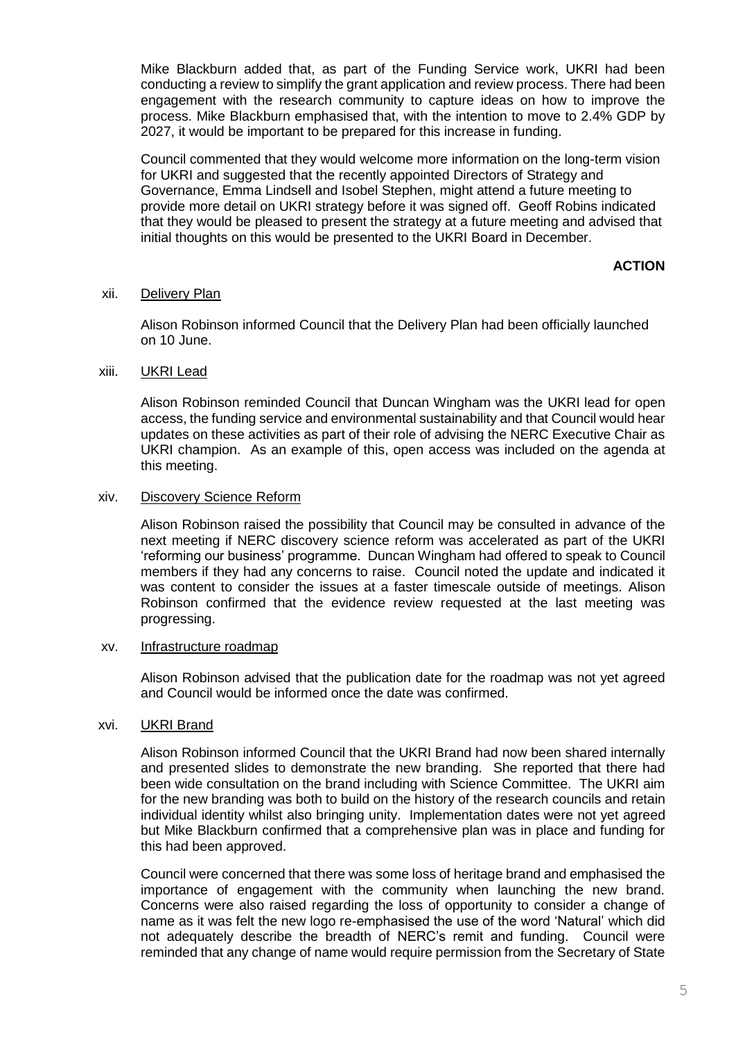Mike Blackburn added that, as part of the Funding Service work, UKRI had been conducting a review to simplify the grant application and review process. There had been engagement with the research community to capture ideas on how to improve the process. Mike Blackburn emphasised that, with the intention to move to 2.4% GDP by 2027, it would be important to be prepared for this increase in funding.

Council commented that they would welcome more information on the long-term vision for UKRI and suggested that the recently appointed Directors of Strategy and Governance, Emma Lindsell and Isobel Stephen, might attend a future meeting to provide more detail on UKRI strategy before it was signed off. Geoff Robins indicated that they would be pleased to present the strategy at a future meeting and advised that initial thoughts on this would be presented to the UKRI Board in December.

# **ACTION**

### xii. Delivery Plan

Alison Robinson informed Council that the Delivery Plan had been officially launched on 10 June.

## xiii. UKRI Lead

Alison Robinson reminded Council that Duncan Wingham was the UKRI lead for open access, the funding service and environmental sustainability and that Council would hear updates on these activities as part of their role of advising the NERC Executive Chair as UKRI champion. As an example of this, open access was included on the agenda at this meeting.

### xiv. Discovery Science Reform

Alison Robinson raised the possibility that Council may be consulted in advance of the next meeting if NERC discovery science reform was accelerated as part of the UKRI 'reforming our business' programme. Duncan Wingham had offered to speak to Council members if they had any concerns to raise. Council noted the update and indicated it was content to consider the issues at a faster timescale outside of meetings. Alison Robinson confirmed that the evidence review requested at the last meeting was progressing.

#### xv. Infrastructure roadmap

Alison Robinson advised that the publication date for the roadmap was not yet agreed and Council would be informed once the date was confirmed.

## xvi. UKRI Brand

Alison Robinson informed Council that the UKRI Brand had now been shared internally and presented slides to demonstrate the new branding. She reported that there had been wide consultation on the brand including with Science Committee. The UKRI aim for the new branding was both to build on the history of the research councils and retain individual identity whilst also bringing unity. Implementation dates were not yet agreed but Mike Blackburn confirmed that a comprehensive plan was in place and funding for this had been approved.

Council were concerned that there was some loss of heritage brand and emphasised the importance of engagement with the community when launching the new brand. Concerns were also raised regarding the loss of opportunity to consider a change of name as it was felt the new logo re-emphasised the use of the word 'Natural' which did not adequately describe the breadth of NERC's remit and funding. Council were reminded that any change of name would require permission from the Secretary of State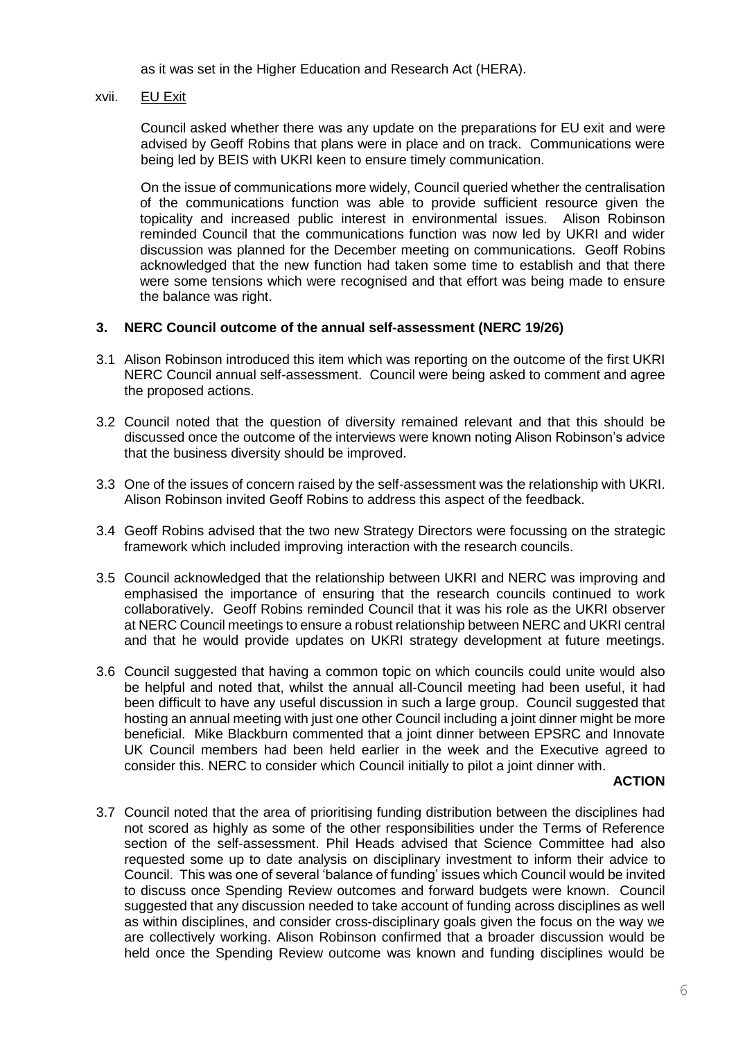as it was set in the Higher Education and Research Act (HERA).

xvii. EU Exit

Council asked whether there was any update on the preparations for EU exit and were advised by Geoff Robins that plans were in place and on track. Communications were being led by BEIS with UKRI keen to ensure timely communication.

On the issue of communications more widely, Council queried whether the centralisation of the communications function was able to provide sufficient resource given the topicality and increased public interest in environmental issues. Alison Robinson reminded Council that the communications function was now led by UKRI and wider discussion was planned for the December meeting on communications. Geoff Robins acknowledged that the new function had taken some time to establish and that there were some tensions which were recognised and that effort was being made to ensure the balance was right.

## **3. NERC Council outcome of the annual self-assessment (NERC 19/26)**

- 3.1 Alison Robinson introduced this item which was reporting on the outcome of the first UKRI NERC Council annual self-assessment. Council were being asked to comment and agree the proposed actions.
- 3.2 Council noted that the question of diversity remained relevant and that this should be discussed once the outcome of the interviews were known noting Alison Robinson's advice that the business diversity should be improved.
- 3.3 One of the issues of concern raised by the self-assessment was the relationship with UKRI. Alison Robinson invited Geoff Robins to address this aspect of the feedback.
- 3.4 Geoff Robins advised that the two new Strategy Directors were focussing on the strategic framework which included improving interaction with the research councils.
- 3.5 Council acknowledged that the relationship between UKRI and NERC was improving and emphasised the importance of ensuring that the research councils continued to work collaboratively. Geoff Robins reminded Council that it was his role as the UKRI observer at NERC Council meetings to ensure a robust relationship between NERC and UKRI central and that he would provide updates on UKRI strategy development at future meetings.
- 3.6 Council suggested that having a common topic on which councils could unite would also be helpful and noted that, whilst the annual all-Council meeting had been useful, it had been difficult to have any useful discussion in such a large group. Council suggested that hosting an annual meeting with just one other Council including a joint dinner might be more beneficial. Mike Blackburn commented that a joint dinner between EPSRC and Innovate UK Council members had been held earlier in the week and the Executive agreed to consider this. NERC to consider which Council initially to pilot a joint dinner with.

#### **ACTION**

3.7 Council noted that the area of prioritising funding distribution between the disciplines had not scored as highly as some of the other responsibilities under the Terms of Reference section of the self-assessment. Phil Heads advised that Science Committee had also requested some up to date analysis on disciplinary investment to inform their advice to Council. This was one of several 'balance of funding' issues which Council would be invited to discuss once Spending Review outcomes and forward budgets were known. Council suggested that any discussion needed to take account of funding across disciplines as well as within disciplines, and consider cross-disciplinary goals given the focus on the way we are collectively working. Alison Robinson confirmed that a broader discussion would be held once the Spending Review outcome was known and funding disciplines would be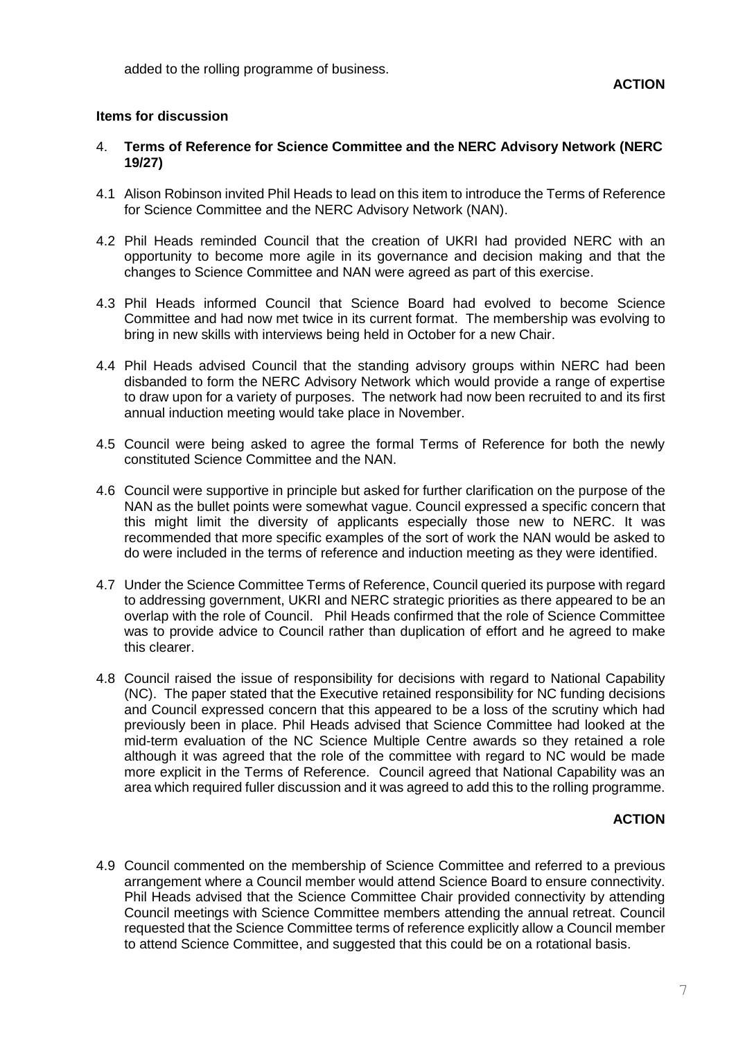added to the rolling programme of business.

## **Items for discussion**

- 4. **Terms of Reference for Science Committee and the NERC Advisory Network (NERC 19/27)**
- 4.1 Alison Robinson invited Phil Heads to lead on this item to introduce the Terms of Reference for Science Committee and the NERC Advisory Network (NAN).
- 4.2 Phil Heads reminded Council that the creation of UKRI had provided NERC with an opportunity to become more agile in its governance and decision making and that the changes to Science Committee and NAN were agreed as part of this exercise.
- 4.3 Phil Heads informed Council that Science Board had evolved to become Science Committee and had now met twice in its current format. The membership was evolving to bring in new skills with interviews being held in October for a new Chair.
- 4.4 Phil Heads advised Council that the standing advisory groups within NERC had been disbanded to form the NERC Advisory Network which would provide a range of expertise to draw upon for a variety of purposes. The network had now been recruited to and its first annual induction meeting would take place in November.
- 4.5 Council were being asked to agree the formal Terms of Reference for both the newly constituted Science Committee and the NAN.
- 4.6 Council were supportive in principle but asked for further clarification on the purpose of the NAN as the bullet points were somewhat vague. Council expressed a specific concern that this might limit the diversity of applicants especially those new to NERC. It was recommended that more specific examples of the sort of work the NAN would be asked to do were included in the terms of reference and induction meeting as they were identified.
- 4.7 Under the Science Committee Terms of Reference, Council queried its purpose with regard to addressing government, UKRI and NERC strategic priorities as there appeared to be an overlap with the role of Council. Phil Heads confirmed that the role of Science Committee was to provide advice to Council rather than duplication of effort and he agreed to make this clearer.
- 4.8 Council raised the issue of responsibility for decisions with regard to National Capability (NC). The paper stated that the Executive retained responsibility for NC funding decisions and Council expressed concern that this appeared to be a loss of the scrutiny which had previously been in place. Phil Heads advised that Science Committee had looked at the mid-term evaluation of the NC Science Multiple Centre awards so they retained a role although it was agreed that the role of the committee with regard to NC would be made more explicit in the Terms of Reference. Council agreed that National Capability was an area which required fuller discussion and it was agreed to add this to the rolling programme.

## **ACTION**

4.9 Council commented on the membership of Science Committee and referred to a previous arrangement where a Council member would attend Science Board to ensure connectivity. Phil Heads advised that the Science Committee Chair provided connectivity by attending Council meetings with Science Committee members attending the annual retreat. Council requested that the Science Committee terms of reference explicitly allow a Council member to attend Science Committee, and suggested that this could be on a rotational basis.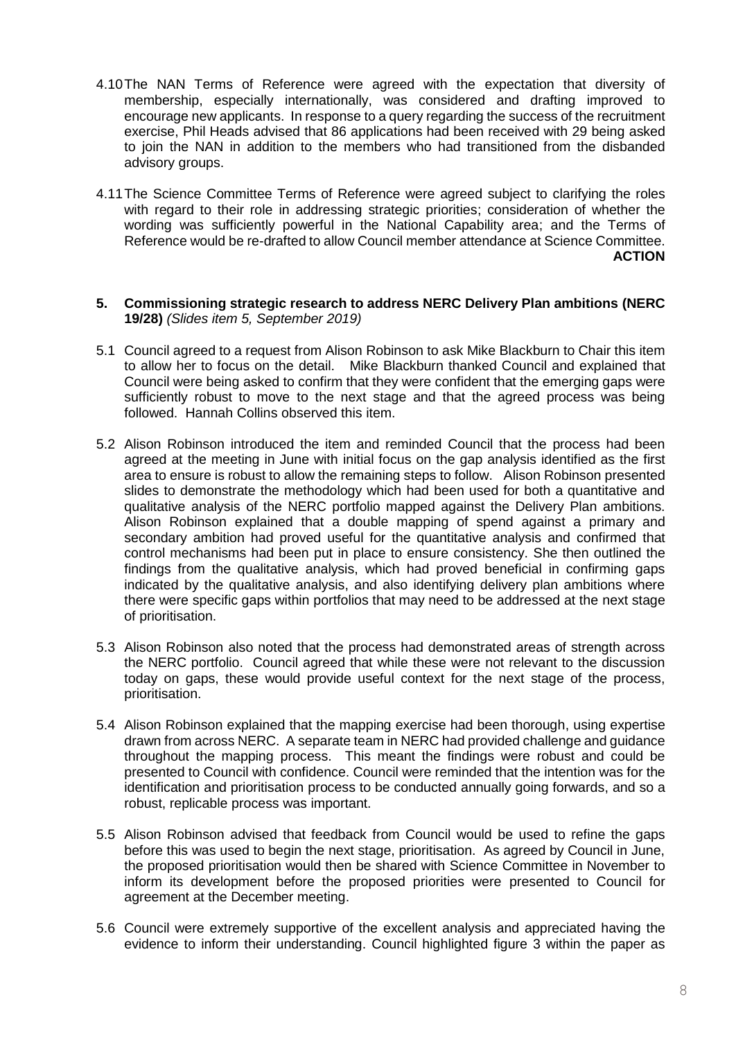- 4.10The NAN Terms of Reference were agreed with the expectation that diversity of membership, especially internationally, was considered and drafting improved to encourage new applicants. In response to a query regarding the success of the recruitment exercise, Phil Heads advised that 86 applications had been received with 29 being asked to join the NAN in addition to the members who had transitioned from the disbanded advisory groups.
- 4.11The Science Committee Terms of Reference were agreed subject to clarifying the roles with regard to their role in addressing strategic priorities; consideration of whether the wording was sufficiently powerful in the National Capability area; and the Terms of Reference would be re-drafted to allow Council member attendance at Science Committee. **ACTION**
- **5. Commissioning strategic research to address NERC Delivery Plan ambitions (NERC 19/28)** *(Slides item 5, September 2019)*
- 5.1 Council agreed to a request from Alison Robinson to ask Mike Blackburn to Chair this item to allow her to focus on the detail. Mike Blackburn thanked Council and explained that Council were being asked to confirm that they were confident that the emerging gaps were sufficiently robust to move to the next stage and that the agreed process was being followed. Hannah Collins observed this item.
- 5.2 Alison Robinson introduced the item and reminded Council that the process had been agreed at the meeting in June with initial focus on the gap analysis identified as the first area to ensure is robust to allow the remaining steps to follow. Alison Robinson presented slides to demonstrate the methodology which had been used for both a quantitative and qualitative analysis of the NERC portfolio mapped against the Delivery Plan ambitions. Alison Robinson explained that a double mapping of spend against a primary and secondary ambition had proved useful for the quantitative analysis and confirmed that control mechanisms had been put in place to ensure consistency. She then outlined the findings from the qualitative analysis, which had proved beneficial in confirming gaps indicated by the qualitative analysis, and also identifying delivery plan ambitions where there were specific gaps within portfolios that may need to be addressed at the next stage of prioritisation.
- 5.3 Alison Robinson also noted that the process had demonstrated areas of strength across the NERC portfolio. Council agreed that while these were not relevant to the discussion today on gaps, these would provide useful context for the next stage of the process, prioritisation.
- 5.4 Alison Robinson explained that the mapping exercise had been thorough, using expertise drawn from across NERC. A separate team in NERC had provided challenge and guidance throughout the mapping process. This meant the findings were robust and could be presented to Council with confidence. Council were reminded that the intention was for the identification and prioritisation process to be conducted annually going forwards, and so a robust, replicable process was important.
- 5.5 Alison Robinson advised that feedback from Council would be used to refine the gaps before this was used to begin the next stage, prioritisation. As agreed by Council in June, the proposed prioritisation would then be shared with Science Committee in November to inform its development before the proposed priorities were presented to Council for agreement at the December meeting.
- 5.6 Council were extremely supportive of the excellent analysis and appreciated having the evidence to inform their understanding. Council highlighted figure 3 within the paper as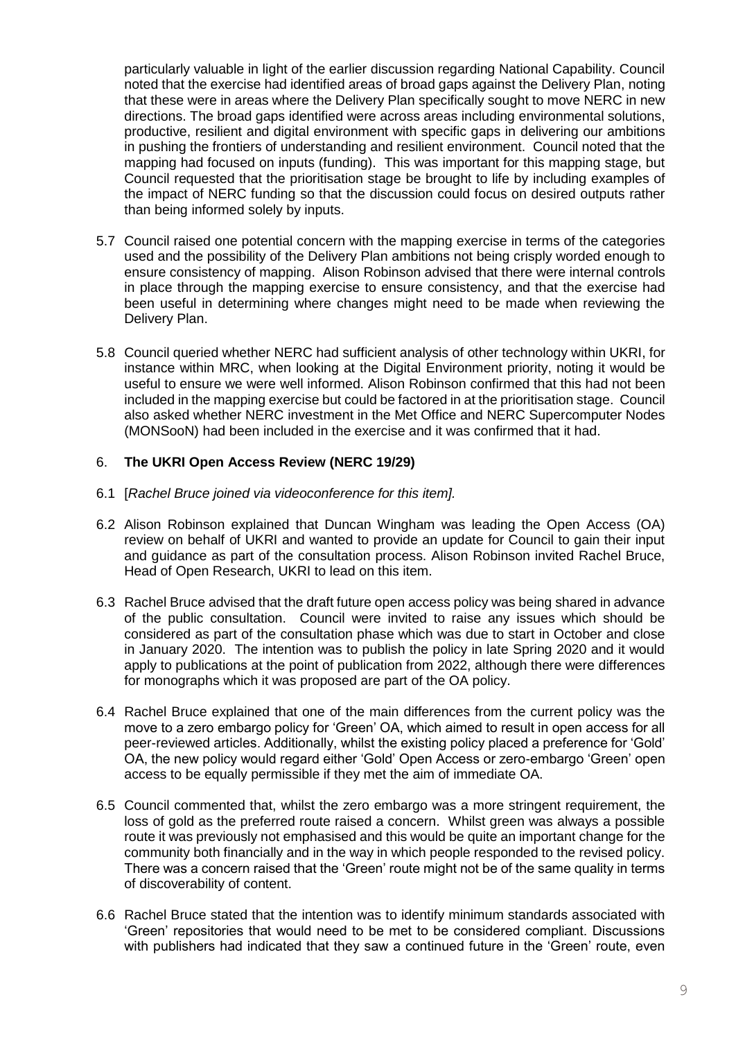particularly valuable in light of the earlier discussion regarding National Capability. Council noted that the exercise had identified areas of broad gaps against the Delivery Plan, noting that these were in areas where the Delivery Plan specifically sought to move NERC in new directions. The broad gaps identified were across areas including environmental solutions, productive, resilient and digital environment with specific gaps in delivering our ambitions in pushing the frontiers of understanding and resilient environment. Council noted that the mapping had focused on inputs (funding). This was important for this mapping stage, but Council requested that the prioritisation stage be brought to life by including examples of the impact of NERC funding so that the discussion could focus on desired outputs rather than being informed solely by inputs.

- 5.7 Council raised one potential concern with the mapping exercise in terms of the categories used and the possibility of the Delivery Plan ambitions not being crisply worded enough to ensure consistency of mapping. Alison Robinson advised that there were internal controls in place through the mapping exercise to ensure consistency, and that the exercise had been useful in determining where changes might need to be made when reviewing the Delivery Plan.
- 5.8 Council queried whether NERC had sufficient analysis of other technology within UKRI, for instance within MRC, when looking at the Digital Environment priority, noting it would be useful to ensure we were well informed. Alison Robinson confirmed that this had not been included in the mapping exercise but could be factored in at the prioritisation stage. Council also asked whether NERC investment in the Met Office and NERC Supercomputer Nodes (MONSooN) had been included in the exercise and it was confirmed that it had.

# 6. **The UKRI Open Access Review (NERC 19/29)**

- 6.1 [*Rachel Bruce joined via videoconference for this item].*
- 6.2 Alison Robinson explained that Duncan Wingham was leading the Open Access (OA) review on behalf of UKRI and wanted to provide an update for Council to gain their input and guidance as part of the consultation process. Alison Robinson invited Rachel Bruce, Head of Open Research, UKRI to lead on this item.
- 6.3 Rachel Bruce advised that the draft future open access policy was being shared in advance of the public consultation. Council were invited to raise any issues which should be considered as part of the consultation phase which was due to start in October and close in January 2020. The intention was to publish the policy in late Spring 2020 and it would apply to publications at the point of publication from 2022, although there were differences for monographs which it was proposed are part of the OA policy.
- 6.4 Rachel Bruce explained that one of the main differences from the current policy was the move to a zero embargo policy for 'Green' OA, which aimed to result in open access for all peer-reviewed articles. Additionally, whilst the existing policy placed a preference for 'Gold' OA, the new policy would regard either 'Gold' Open Access or zero-embargo 'Green' open access to be equally permissible if they met the aim of immediate OA.
- 6.5 Council commented that, whilst the zero embargo was a more stringent requirement, the loss of gold as the preferred route raised a concern. Whilst green was always a possible route it was previously not emphasised and this would be quite an important change for the community both financially and in the way in which people responded to the revised policy. There was a concern raised that the 'Green' route might not be of the same quality in terms of discoverability of content.
- 6.6 Rachel Bruce stated that the intention was to identify minimum standards associated with 'Green' repositories that would need to be met to be considered compliant. Discussions with publishers had indicated that they saw a continued future in the 'Green' route, even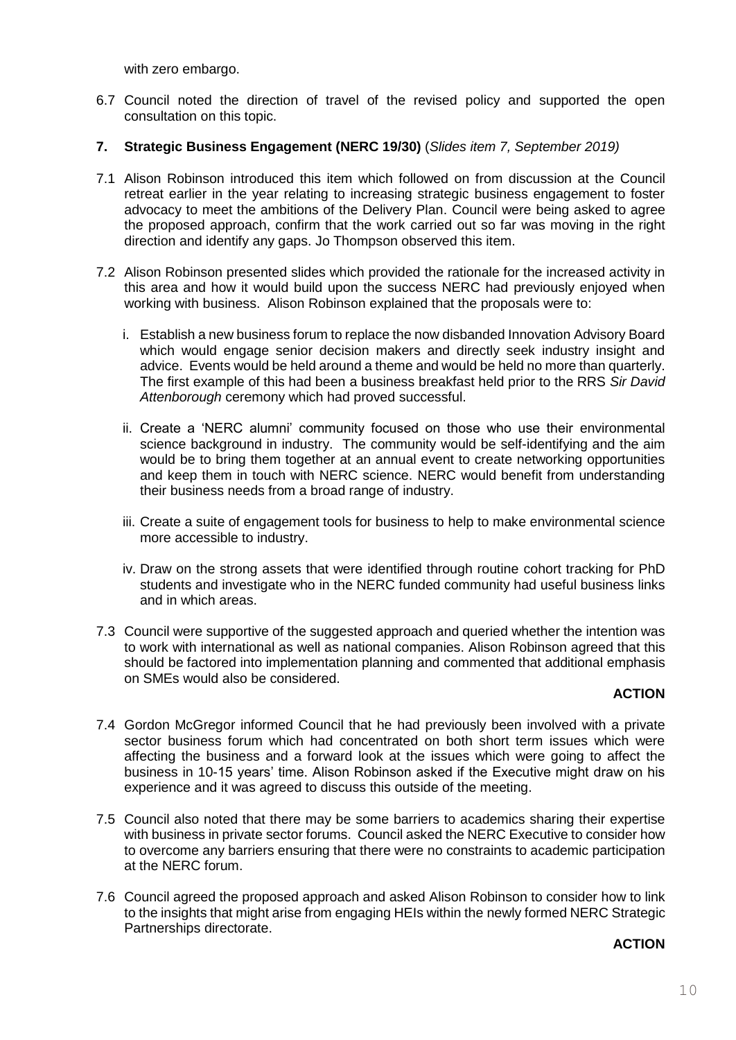with zero embargo.

6.7 Council noted the direction of travel of the revised policy and supported the open consultation on this topic.

# **7. Strategic Business Engagement (NERC 19/30)** (*Slides item 7, September 2019)*

- 7.1 Alison Robinson introduced this item which followed on from discussion at the Council retreat earlier in the year relating to increasing strategic business engagement to foster advocacy to meet the ambitions of the Delivery Plan. Council were being asked to agree the proposed approach, confirm that the work carried out so far was moving in the right direction and identify any gaps. Jo Thompson observed this item.
- 7.2 Alison Robinson presented slides which provided the rationale for the increased activity in this area and how it would build upon the success NERC had previously enjoyed when working with business. Alison Robinson explained that the proposals were to:
	- i. Establish a new business forum to replace the now disbanded Innovation Advisory Board which would engage senior decision makers and directly seek industry insight and advice. Events would be held around a theme and would be held no more than quarterly. The first example of this had been a business breakfast held prior to the RRS *Sir David Attenborough* ceremony which had proved successful.
	- ii. Create a 'NERC alumni' community focused on those who use their environmental science background in industry. The community would be self-identifying and the aim would be to bring them together at an annual event to create networking opportunities and keep them in touch with NERC science. NERC would benefit from understanding their business needs from a broad range of industry.
	- iii. Create a suite of engagement tools for business to help to make environmental science more accessible to industry.
	- iv. Draw on the strong assets that were identified through routine cohort tracking for PhD students and investigate who in the NERC funded community had useful business links and in which areas.
- 7.3 Council were supportive of the suggested approach and queried whether the intention was to work with international as well as national companies. Alison Robinson agreed that this should be factored into implementation planning and commented that additional emphasis on SMEs would also be considered.

#### **ACTION**

- 7.4 Gordon McGregor informed Council that he had previously been involved with a private sector business forum which had concentrated on both short term issues which were affecting the business and a forward look at the issues which were going to affect the business in 10-15 years' time. Alison Robinson asked if the Executive might draw on his experience and it was agreed to discuss this outside of the meeting.
- 7.5 Council also noted that there may be some barriers to academics sharing their expertise with business in private sector forums. Council asked the NERC Executive to consider how to overcome any barriers ensuring that there were no constraints to academic participation at the NERC forum.
- 7.6 Council agreed the proposed approach and asked Alison Robinson to consider how to link to the insights that might arise from engaging HEIs within the newly formed NERC Strategic Partnerships directorate.

#### **ACTION**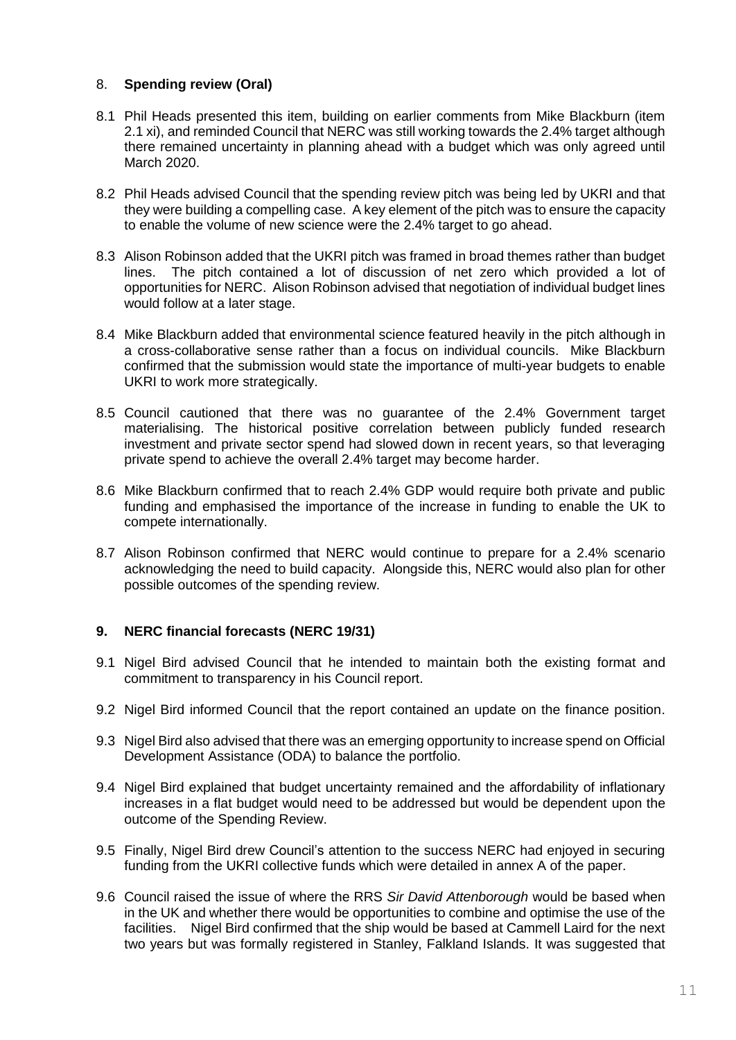# 8. **Spending review (Oral)**

- 8.1 Phil Heads presented this item, building on earlier comments from Mike Blackburn (item 2.1 xi), and reminded Council that NERC was still working towards the 2.4% target although there remained uncertainty in planning ahead with a budget which was only agreed until March 2020.
- 8.2 Phil Heads advised Council that the spending review pitch was being led by UKRI and that they were building a compelling case. A key element of the pitch was to ensure the capacity to enable the volume of new science were the 2.4% target to go ahead.
- 8.3 Alison Robinson added that the UKRI pitch was framed in broad themes rather than budget lines. The pitch contained a lot of discussion of net zero which provided a lot of opportunities for NERC. Alison Robinson advised that negotiation of individual budget lines would follow at a later stage.
- 8.4 Mike Blackburn added that environmental science featured heavily in the pitch although in a cross-collaborative sense rather than a focus on individual councils. Mike Blackburn confirmed that the submission would state the importance of multi-year budgets to enable UKRI to work more strategically.
- 8.5 Council cautioned that there was no guarantee of the 2.4% Government target materialising. The historical positive correlation between publicly funded research investment and private sector spend had slowed down in recent years, so that leveraging private spend to achieve the overall 2.4% target may become harder.
- 8.6 Mike Blackburn confirmed that to reach 2.4% GDP would require both private and public funding and emphasised the importance of the increase in funding to enable the UK to compete internationally.
- 8.7 Alison Robinson confirmed that NERC would continue to prepare for a 2.4% scenario acknowledging the need to build capacity. Alongside this, NERC would also plan for other possible outcomes of the spending review.

# **9. NERC financial forecasts (NERC 19/31)**

- 9.1 Nigel Bird advised Council that he intended to maintain both the existing format and commitment to transparency in his Council report.
- 9.2 Nigel Bird informed Council that the report contained an update on the finance position.
- 9.3 Nigel Bird also advised that there was an emerging opportunity to increase spend on Official Development Assistance (ODA) to balance the portfolio.
- 9.4 Nigel Bird explained that budget uncertainty remained and the affordability of inflationary increases in a flat budget would need to be addressed but would be dependent upon the outcome of the Spending Review.
- 9.5 Finally, Nigel Bird drew Council's attention to the success NERC had enjoyed in securing funding from the UKRI collective funds which were detailed in annex A of the paper.
- 9.6 Council raised the issue of where the RRS *Sir David Attenborough* would be based when in the UK and whether there would be opportunities to combine and optimise the use of the facilities. Nigel Bird confirmed that the ship would be based at Cammell Laird for the next two years but was formally registered in Stanley, Falkland Islands. It was suggested that